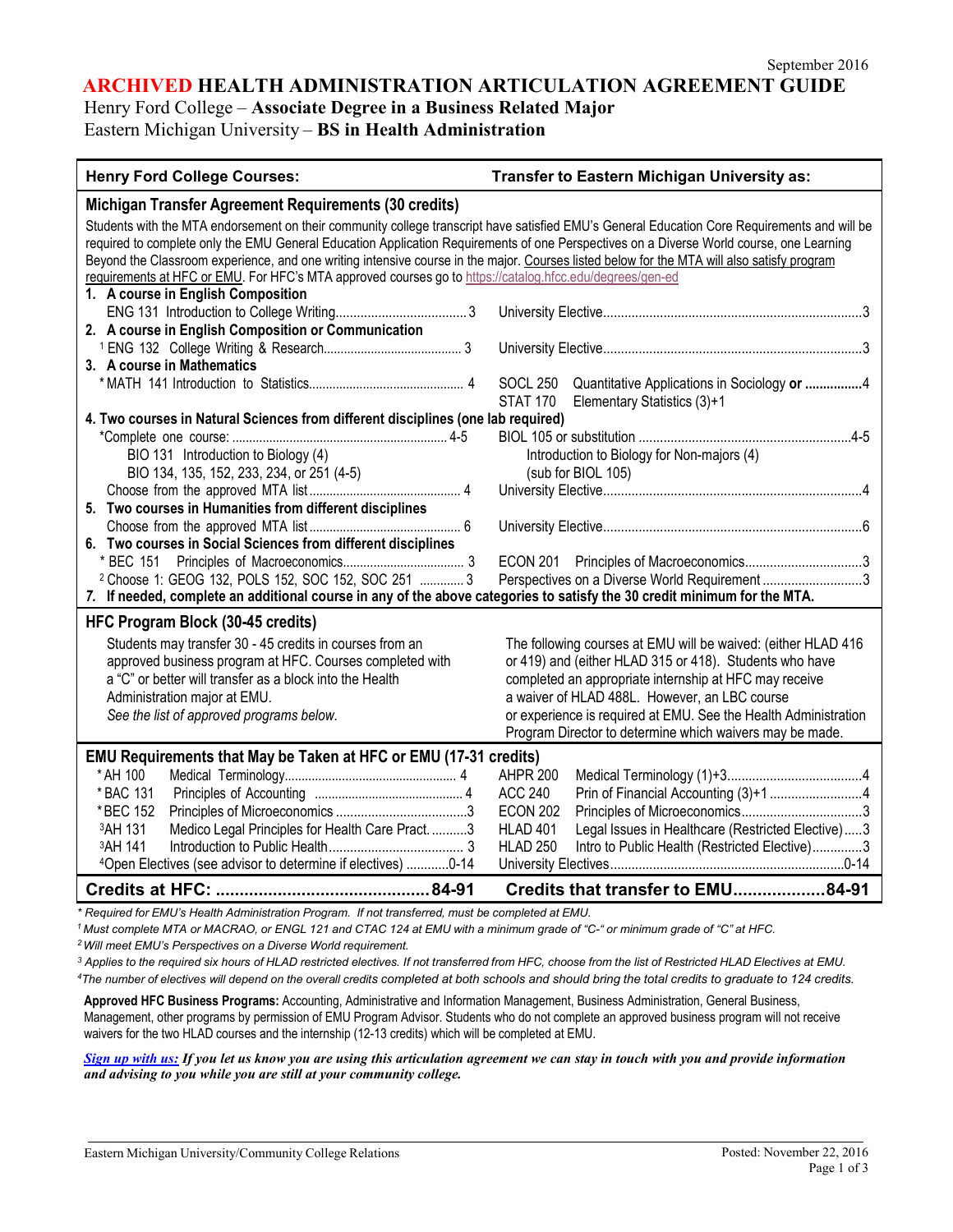### **ARCHIVED HEALTH ADMINISTRATION ARTICULATION AGREEMENT GUIDE**

Henry Ford College – **Associate Degree in a Business Related Major**

Eastern Michigan University – **BS in Health Administration**

| <b>Henry Ford College Courses:</b>                                                                                                                                                                                                                                                                                                                                                                                                                                                                                                                                                       | Transfer to Eastern Michigan University as:                      |
|------------------------------------------------------------------------------------------------------------------------------------------------------------------------------------------------------------------------------------------------------------------------------------------------------------------------------------------------------------------------------------------------------------------------------------------------------------------------------------------------------------------------------------------------------------------------------------------|------------------------------------------------------------------|
| Michigan Transfer Agreement Requirements (30 credits)                                                                                                                                                                                                                                                                                                                                                                                                                                                                                                                                    |                                                                  |
| Students with the MTA endorsement on their community college transcript have satisfied EMU's General Education Core Requirements and will be<br>required to complete only the EMU General Education Application Requirements of one Perspectives on a Diverse World course, one Learning<br>Beyond the Classroom experience, and one writing intensive course in the major. Courses listed below for the MTA will also satisfy program<br>requirements at HFC or EMU. For HFC's MTA approved courses go to https://catalog.hfcc.edu/degrees/gen-ed<br>1. A course in English Composition |                                                                  |
|                                                                                                                                                                                                                                                                                                                                                                                                                                                                                                                                                                                          |                                                                  |
| 2. A course in English Composition or Communication                                                                                                                                                                                                                                                                                                                                                                                                                                                                                                                                      |                                                                  |
|                                                                                                                                                                                                                                                                                                                                                                                                                                                                                                                                                                                          |                                                                  |
| 3. A course in Mathematics                                                                                                                                                                                                                                                                                                                                                                                                                                                                                                                                                               |                                                                  |
|                                                                                                                                                                                                                                                                                                                                                                                                                                                                                                                                                                                          | <b>SOCL 250</b><br>Quantitative Applications in Sociology or 4   |
|                                                                                                                                                                                                                                                                                                                                                                                                                                                                                                                                                                                          | <b>STAT 170</b><br>Elementary Statistics (3)+1                   |
| 4. Two courses in Natural Sciences from different disciplines (one lab required)                                                                                                                                                                                                                                                                                                                                                                                                                                                                                                         |                                                                  |
| BIO 131 Introduction to Biology (4)                                                                                                                                                                                                                                                                                                                                                                                                                                                                                                                                                      | Introduction to Biology for Non-majors (4)                       |
| BIO 134, 135, 152, 233, 234, or 251 (4-5)                                                                                                                                                                                                                                                                                                                                                                                                                                                                                                                                                | (sub for BIOL 105)                                               |
|                                                                                                                                                                                                                                                                                                                                                                                                                                                                                                                                                                                          |                                                                  |
| 5. Two courses in Humanities from different disciplines                                                                                                                                                                                                                                                                                                                                                                                                                                                                                                                                  |                                                                  |
|                                                                                                                                                                                                                                                                                                                                                                                                                                                                                                                                                                                          |                                                                  |
| 6. Two courses in Social Sciences from different disciplines                                                                                                                                                                                                                                                                                                                                                                                                                                                                                                                             |                                                                  |
|                                                                                                                                                                                                                                                                                                                                                                                                                                                                                                                                                                                          |                                                                  |
| <sup>2</sup> Choose 1: GEOG 132, POLS 152, SOC 152, SOC 251  3                                                                                                                                                                                                                                                                                                                                                                                                                                                                                                                           | Perspectives on a Diverse World Requirement3                     |
| 7. If needed, complete an additional course in any of the above categories to satisfy the 30 credit minimum for the MTA.                                                                                                                                                                                                                                                                                                                                                                                                                                                                 |                                                                  |
| HFC Program Block (30-45 credits)                                                                                                                                                                                                                                                                                                                                                                                                                                                                                                                                                        |                                                                  |
| Students may transfer 30 - 45 credits in courses from an                                                                                                                                                                                                                                                                                                                                                                                                                                                                                                                                 | The following courses at EMU will be waived: (either HLAD 416    |
| approved business program at HFC. Courses completed with                                                                                                                                                                                                                                                                                                                                                                                                                                                                                                                                 | or 419) and (either HLAD 315 or 418). Students who have          |
| a "C" or better will transfer as a block into the Health                                                                                                                                                                                                                                                                                                                                                                                                                                                                                                                                 | completed an appropriate internship at HFC may receive           |
| Administration major at EMU.                                                                                                                                                                                                                                                                                                                                                                                                                                                                                                                                                             | a waiver of HLAD 488L. However, an LBC course                    |
| See the list of approved programs below.                                                                                                                                                                                                                                                                                                                                                                                                                                                                                                                                                 | or experience is required at EMU. See the Health Administration  |
|                                                                                                                                                                                                                                                                                                                                                                                                                                                                                                                                                                                          | Program Director to determine which waivers may be made.         |
| EMU Requirements that May be Taken at HFC or EMU (17-31 credits)                                                                                                                                                                                                                                                                                                                                                                                                                                                                                                                         |                                                                  |
| * AH 100                                                                                                                                                                                                                                                                                                                                                                                                                                                                                                                                                                                 | <b>AHPR 200</b>                                                  |
| * BAC 131                                                                                                                                                                                                                                                                                                                                                                                                                                                                                                                                                                                | <b>ACC 240</b>                                                   |
| *BEC 152                                                                                                                                                                                                                                                                                                                                                                                                                                                                                                                                                                                 | <b>ECON 202</b>                                                  |
| Medico Legal Principles for Health Care Pract. 3<br><sup>3</sup> AH 131                                                                                                                                                                                                                                                                                                                                                                                                                                                                                                                  | HLAD 401<br>Legal Issues in Healthcare (Restricted Elective)3    |
| 3AH 141                                                                                                                                                                                                                                                                                                                                                                                                                                                                                                                                                                                  | <b>HLAD 250</b><br>Intro to Public Health (Restricted Elective)3 |
| <sup>4</sup> Open Electives (see advisor to determine if electives) 0-14                                                                                                                                                                                                                                                                                                                                                                                                                                                                                                                 |                                                                  |
|                                                                                                                                                                                                                                                                                                                                                                                                                                                                                                                                                                                          | Credits that transfer to EMU84-91                                |

*\* Required for EMU's Health Administration Program. If not transferred, must be completed at EMU.*

1 Must complete MTA or MACRAO, or ENGL 121 and CTAC 124 at EMU with a minimum grade of "C-" or minimum grade of "C" at HFC.

*2Will meet EMU's Perspectives on a Diverse World requirement.*

<sup>3</sup> Applies to the required six hours of HLAD restricted electives. If not transferred from HFC, choose from the list of Restricted HLAD Electives at EMU. 4The number of electives will depend on the overall credits completed at both schools and should bring the total credits to graduate to 124 credits.

**Approved HFC Business Programs:** Accounting, Administrative and Information Management, Business Administration, General Business, Management, other programs by permission of EMU Program Advisor. Students who do not complete an approved business program will not receive waivers for the two HLAD courses and the internship (12-13 credits) which will be completed at EMU.

*[Sign up with us:](https://www.emich.edu/ccr/articulation-agreements/signup.php) If you let us know you are using this articulation agreement we can stay in touch with you and provide information and advising to you while you are still at your community college.*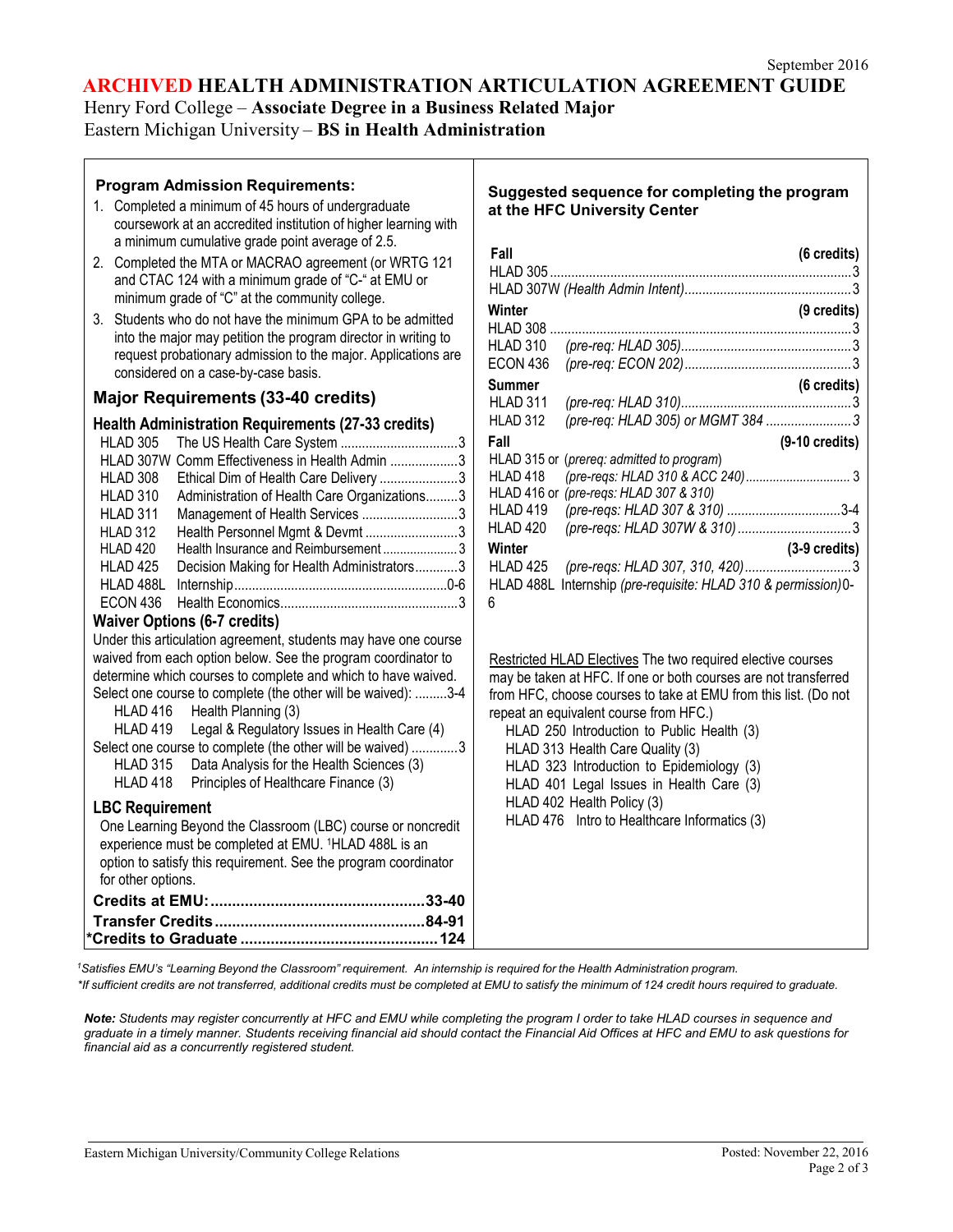# **ARCHIVED HEALTH ADMINISTRATION ARTICULATION AGREEMENT GUIDE**

Henry Ford College – **Associate Degree in a Business Related Major** Eastern Michigan University – **BS in Health Administration**

| <b>Program Admission Requirements:</b>                                                                                          | Suggested sequence for completing the program                                        |
|---------------------------------------------------------------------------------------------------------------------------------|--------------------------------------------------------------------------------------|
| 1. Completed a minimum of 45 hours of undergraduate                                                                             | at the HFC University Center                                                         |
| coursework at an accredited institution of higher learning with                                                                 |                                                                                      |
| a minimum cumulative grade point average of 2.5.                                                                                | Fall<br>(6 credits)                                                                  |
| 2. Completed the MTA or MACRAO agreement (or WRTG 121                                                                           |                                                                                      |
| and CTAC 124 with a minimum grade of "C-" at EMU or                                                                             |                                                                                      |
| minimum grade of "C" at the community college.                                                                                  | (9 credits)<br>Winter                                                                |
| 3. Students who do not have the minimum GPA to be admitted                                                                      |                                                                                      |
| into the major may petition the program director in writing to<br>request probationary admission to the major. Applications are | HLAD 310                                                                             |
| considered on a case-by-case basis.                                                                                             | <b>ECON 436</b>                                                                      |
|                                                                                                                                 | <b>Summer</b><br>(6 credits)                                                         |
| <b>Major Requirements (33-40 credits)</b>                                                                                       | HLAD 311                                                                             |
| <b>Health Administration Requirements (27-33 credits)</b>                                                                       | (pre-req: HLAD 305) or MGMT 384 3<br>HLAD 312                                        |
| The US Health Care System 3<br>HLAD 305                                                                                         | Fall<br>$(9-10$ credits)                                                             |
| HLAD 307W Comm Effectiveness in Health Admin 3                                                                                  | HLAD 315 or (prereq: admitted to program)                                            |
| HLAD 308<br>Ethical Dim of Health Care Delivery 3                                                                               | HLAD 418                                                                             |
| Administration of Health Care Organizations3<br>HLAD 310                                                                        | HLAD 416 or (pre-regs: HLAD 307 & 310)<br>(pre-reqs: HLAD 307 & 310) 3-4<br>HLAD 419 |
| Management of Health Services 3<br>HLAD 311<br>Health Personnel Mgmt & Devmt 3<br><b>HLAD 312</b>                               | HLAD 420                                                                             |
| HLAD 420<br>Health Insurance and Reimbursement3                                                                                 | (3-9 credits)<br>Winter                                                              |
| Decision Making for Health Administrators3<br>HLAD <sub>425</sub>                                                               | HLAD 425                                                                             |
|                                                                                                                                 | HLAD 488L Internship (pre-requisite: HLAD 310 & permission)0-                        |
| ECON 436                                                                                                                        | 6                                                                                    |
| <b>Waiver Options (6-7 credits)</b>                                                                                             |                                                                                      |
| Under this articulation agreement, students may have one course                                                                 |                                                                                      |
| waived from each option below. See the program coordinator to                                                                   | Restricted HLAD Electives The two required elective courses                          |
| determine which courses to complete and which to have waived.                                                                   | may be taken at HFC. If one or both courses are not transferred                      |
| Select one course to complete (the other will be waived): 3-4                                                                   | from HFC, choose courses to take at EMU from this list. (Do not                      |
| Health Planning (3)<br>HLAD 416                                                                                                 | repeat an equivalent course from HFC.)                                               |
| <b>HLAD 419</b><br>Legal & Regulatory Issues in Health Care (4)<br>Select one course to complete (the other will be waived) 3   | HLAD 250 Introduction to Public Health (3)                                           |
| <b>HLAD 315</b><br>Data Analysis for the Health Sciences (3)                                                                    | HLAD 313 Health Care Quality (3)<br>HLAD 323 Introduction to Epidemiology (3)        |
| HLAD 418<br>Principles of Healthcare Finance (3)                                                                                | HLAD 401 Legal Issues in Health Care (3)                                             |
|                                                                                                                                 | HLAD 402 Health Policy (3)                                                           |
| <b>LBC Requirement</b><br>One Learning Beyond the Classroom (LBC) course or noncredit                                           | HLAD 476 Intro to Healthcare Informatics (3)                                         |
| experience must be completed at EMU. <sup>1</sup> HLAD 488L is an                                                               |                                                                                      |
| option to satisfy this requirement. See the program coordinator                                                                 |                                                                                      |
| for other options.                                                                                                              |                                                                                      |
|                                                                                                                                 |                                                                                      |
|                                                                                                                                 |                                                                                      |
|                                                                                                                                 |                                                                                      |
|                                                                                                                                 |                                                                                      |

1Satisfies EMU's "Learning Beyond the Classroom" requirement. An internship is required for the Health Administration program.

\*If sufficient credits are not transferred, additional credits must be completed at EMU to satisfy the minimum of 124 credit hours required to graduate.

*Note: Students may register concurrently at HFC and EMU while completing the program I order to take HLAD courses in sequence and graduate in a timely manner. Students receiving financial aid should contact the Financial Aid Offices at HFC and EMU to ask questions for financial aid as a concurrently registered student.*